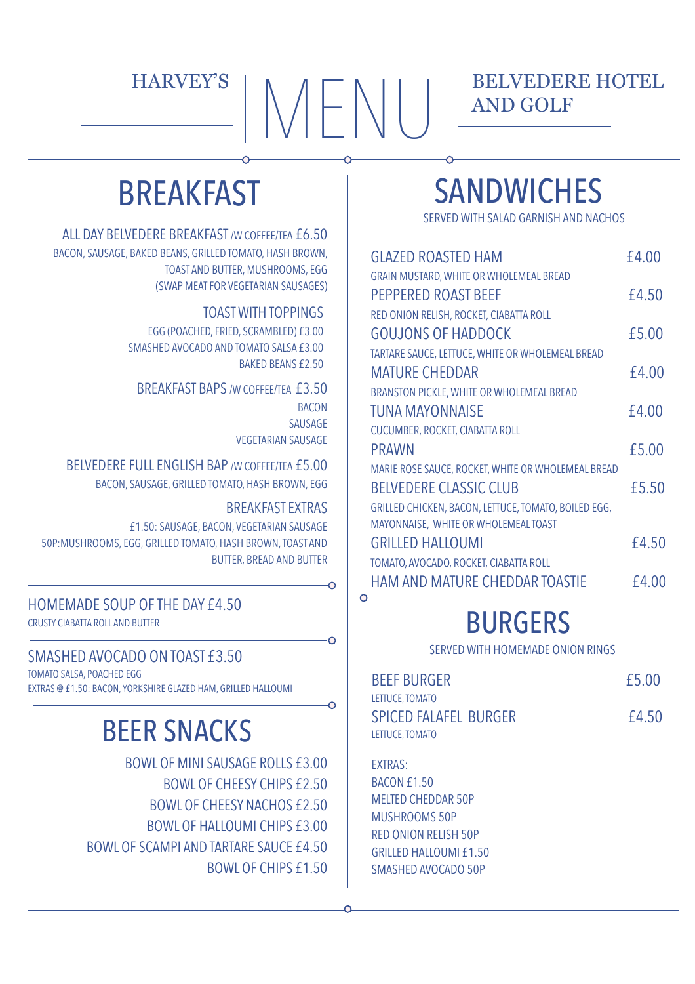# $\text{HARYEY'S}$   $\text{MEN}$

#### BELVEDERE HOTEL AND GOLF

## **BREAKFAST**

ALL DAY BELVEDERE BREAKFAST /W COFFEE/TEA £6.50 BACON, SAUSAGE, BAKED BEANS, GRILLED TOMATO, HASH BROWN, TOAST AND BUTTER, MUSHROOMS, EGG (SWAP MEAT FOR VEGETARIAN SAUSAGES)

TOAST WITH TOPPINGS

EGG (POACHED, FRIED, SCRAMBLED) £3.00 SMASHED AVOCADO AND TOMATO SALSA £3.00 BAKED BEANS £2.50

BREAKFAST BAPS /W COFFEE/TEA £3.50 **BACON** SAUSAGE VEGETARIAN SAUSAGE

BELVEDERE FULL ENGLISH BAP /W COFFEE/TEA £5.00 BACON, SAUSAGE, GRILLED TOMATO, HASH BROWN, EGG

#### BREAKFAST EXTRAS

 $\Omega$ 

Ò

 $\Omega$ 

£1.50: SAUSAGE, BACON, VEGETARIAN SAUSAGE 50P:MUSHROOMS, EGG, GRILLED TOMATO, HASH BROWN, TOAST AND BUTTER, BREAD AND BUTTER

HOMEMADE SOUP OF THE DAY £4.50 CRUSTY CIABATTA ROLL AND BUTTER

#### SMASHED AVOCADO ON TOAST £3.50

TOMATO SALSA, POACHED EGG EXTRAS @ £1.50: BACON, YORKSHIRE GLAZED HAM, GRILLED HALLOUMI

## BEER SNACKS

BOWL OF MINI SAUSAGE ROLLS £3.00 BOWL OF CHEESY CHIPS £2.50 BOWL OF CHEESY NACHOS £2.50 BOWL OF HALLOUMI CHIPS £3.00 BOWL OF SCAMPI AND TARTARE SAUCE £4.50 BOWL OF CHIPS £1.50

## **SANDWICHES**

SERVED WITH SALAD GARNISH AND NACHOS

| <b>GLAZED ROASTED HAM</b>                            | £4.00 |
|------------------------------------------------------|-------|
| GRAIN MUSTARD, WHITE OR WHOLEMEAL BREAD              |       |
| PEPPERED ROAST BEEF                                  | £4.50 |
| RED ONION RELISH, ROCKET, CIABATTA ROLL              |       |
| <b>GOUJONS OF HADDOCK</b>                            | £5.00 |
| TARTARE SAUCE, LETTUCE, WHITE OR WHOLEMEAL BREAD     |       |
| <b>MATURE CHEDDAR</b>                                | £4.00 |
| BRANSTON PICKLE, WHITE OR WHOLEMEAL BREAD            |       |
| <b>TUNA MAYONNAISE</b>                               | £4.00 |
| CUCUMBER, ROCKET, CIABATTA ROLL                      |       |
| <b>PRAWN</b>                                         | £5.00 |
| MARIE ROSE SAUCE, ROCKET, WHITE OR WHOLEMEAL BREAD   |       |
| <b>BELVEDERE CLASSIC CLUB</b>                        | £5.50 |
| GRILLED CHICKEN, BACON, LETTUCE, TOMATO, BOILED EGG, |       |
| MAYONNAISE, WHITE OR WHOLEMEAL TOAST                 |       |
| <b>GRILLED HALLOUMI</b>                              | £4.50 |
| TOMATO, AVOCADO, ROCKET, CIABATTA ROLL               |       |
| <b>HAM AND MATURE CHEDDAR TOASTIE</b>                | £4.00 |

## BURGERS

SERVED WITH HOMEMADE ONION RINGS

| <b>BEEF BURGER</b>                                                 | £5.00 |
|--------------------------------------------------------------------|-------|
| LETTUCE, TOMATO<br><b>SPICED FALAFEL BURGER</b><br>LETTUCE, TOMATO | £4.50 |

EXTRAS: BACON £1.50 MELTED CHEDDAR 50P MUSHROOMS 50P RED ONION RELISH 50P GRILLED HALLOUMI £1.50 SMASHED AVOCADO 50P